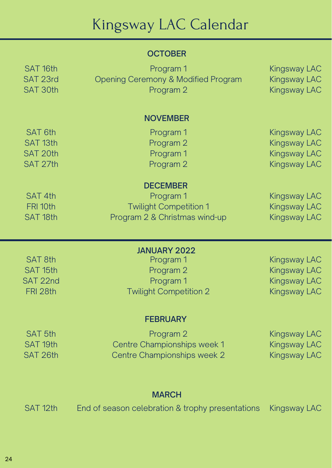# Kingsway LAC Calendar

### **OCTOBER**

SAT 5th SAT 19th



| SAT <sub>16th</sub><br>SAT 23rd | Program 1<br><b>Opening Ceremony &amp; Modified Program</b> | <b>Kingsway LAC</b><br><b>Kingsway LAC</b> |
|---------------------------------|-------------------------------------------------------------|--------------------------------------------|
| <b>SAT 30th</b>                 | Program 2                                                   | <b>Kingsway LAC</b>                        |
|                                 |                                                             |                                            |
|                                 | <b>NOVEMBER</b>                                             |                                            |
| <b>SAT 6th</b>                  | Program 1                                                   | Kingsway LAC                               |
| SAT <sub>13th</sub>             | Program 2                                                   | <b>Kingsway LAC</b>                        |
| SAT 20th                        | Program 1                                                   | <b>Kingsway LAC</b>                        |
| SAT 27th                        | Program 2                                                   | Kingsway LAC                               |
|                                 | <b>DECEMBER</b>                                             |                                            |
| SAT 4th                         | Program 1                                                   | <b>Kingsway LAC</b>                        |
| FRI 10th                        | <b>Twilight Competition 1</b>                               | Kingsway LAC                               |
| SAT <sub>18th</sub>             | Program 2 & Christmas wind-up                               | Kingsway LAC                               |
|                                 |                                                             |                                            |
|                                 | <b>JANUARY 2022</b>                                         |                                            |
| <b>SAT 8th</b>                  | Program 1                                                   | <b>Kingsway LAC</b>                        |
| SAT 15th                        | Program 2                                                   | <b>Kingsway LAC</b>                        |
| SAT 22nd                        | Program 1                                                   | <b>Kingsway LAC</b>                        |
| FRI 28th                        | <b>Twilight Competition 2</b>                               | <b>Kingsway LAC</b>                        |
|                                 | <b>FEBRUARY</b>                                             |                                            |
|                                 |                                                             |                                            |

Program 2 Centre Championships week 1

Centre Championships week 2

#### SAT 12th End of season celebration & trophy presentations Kingsway LAC

### MARCH

Kingsway LAC Kingsway LAC